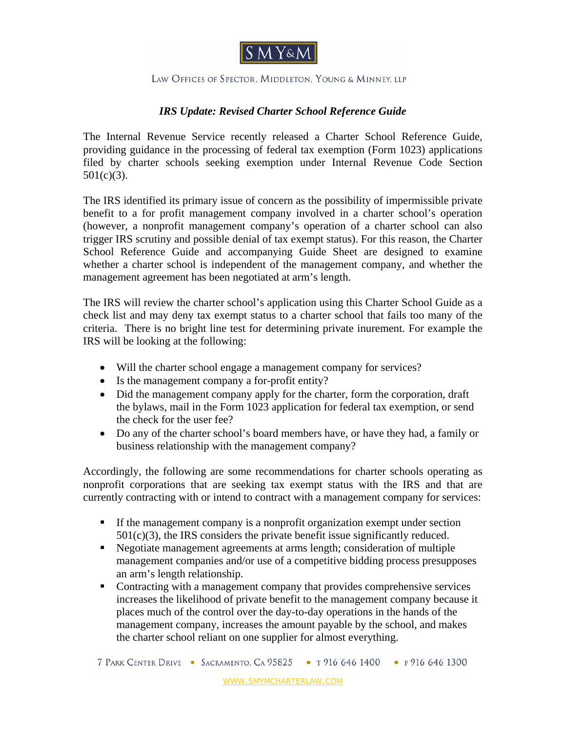

## LAW OFFICES OF SPECTOR, MIDDLETON, YOUNG & MINNEY, LLP

## *IRS Update: Revised Charter School Reference Guide*

The Internal Revenue Service recently released a Charter School Reference Guide, providing guidance in the processing of federal tax exemption (Form 1023) applications filed by charter schools seeking exemption under Internal Revenue Code Section  $501(c)(3)$ .

The IRS identified its primary issue of concern as the possibility of impermissible private benefit to a for profit management company involved in a charter school's operation (however, a nonprofit management company's operation of a charter school can also trigger IRS scrutiny and possible denial of tax exempt status). For this reason, the Charter School Reference Guide and accompanying Guide Sheet are designed to examine whether a charter school is independent of the management company, and whether the management agreement has been negotiated at arm's length.

The IRS will review the charter school's application using this Charter School Guide as a check list and may deny tax exempt status to a charter school that fails too many of the criteria. There is no bright line test for determining private inurement. For example the IRS will be looking at the following:

- Will the charter school engage a management company for services?
- Is the management company a for-profit entity?
- Did the management company apply for the charter, form the corporation, draft the bylaws, mail in the Form 1023 application for federal tax exemption, or send the check for the user fee?
- Do any of the charter school's board members have, or have they had, a family or business relationship with the management company?

Accordingly, the following are some recommendations for charter schools operating as nonprofit corporations that are seeking tax exempt status with the IRS and that are currently contracting with or intend to contract with a management company for services:

- If the management company is a nonprofit organization exempt under section  $501(c)(3)$ , the IRS considers the private benefit issue significantly reduced.
- Negotiate management agreements at arms length; consideration of multiple management companies and/or use of a competitive bidding process presupposes an arm's length relationship.
- Contracting with a management company that provides comprehensive services increases the likelihood of private benefit to the management company because it places much of the control over the day-to-day operations in the hands of the management company, increases the amount payable by the school, and makes the charter school reliant on one supplier for almost everything.